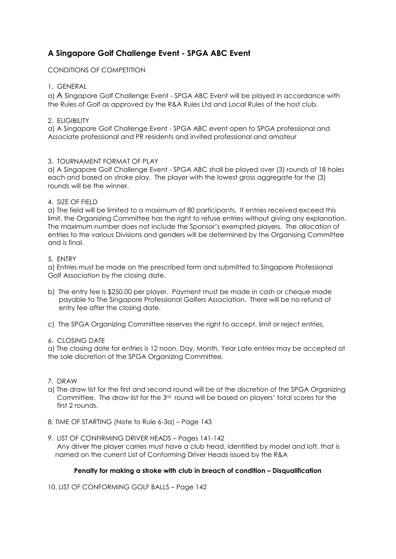# **A Singapore Golf Challenge Event - SPGA ABC Event**

CONDITIONS OF COMPETITION

## 1. GENERAL

a) A Singapore Golf Challenge Event - SPGA ABC Event will be played in accordance with the Rules of Golf as approved by the R&A Rules Ltd and Local Rules of the host club.

## 2. ELIGIBILITY

a) A Singapore Golf Challenge Event - SPGA ABC event open to SPGA professional and Associate professional and PR residents and invited professional and amateur

## 3. TOURNAMENT FORMAT OF PLAY

a) A Singapore Golf Challenge Event - SPGA ABC shall be played over (3) rounds of 18 holes each and based on stroke play. The player with the lowest gross aggregate for the (3) rounds will be the winner.

## 4. SIZE OF FIELD

a) The field will be limited to a maximum of 80 participants. If entries received exceed this limit, the Organizing Committee has the right to refuse entries without giving any explanation. The maximum number does not include the Sponsor's exempted players. The allocation of entries to the various Divisions and genders will be determined by the Organising Committee and is final.

#### 5. ENTRY

a) Entries must be made on the prescribed form and submitted to Singapore Professional Golf Association by the closing date.

- b) The entry fee is \$250.00 per player. Payment must be made in cash or cheque made payable to The Singapore Professional Golfers Association. There will be no refund of entry fee after the closing date.
- c) The SPGA Organizing Committee reserves the right to accept, limit or reject entries.

#### 6. CLOSING DATE

a) The closing date for entries is 12 noon, Day, Month, Year Late entries may be accepted at the sole discretion of the SPGA Organizing Committee.

- 7. DRAW
- a) The draw list for the first and second round will be at the discretion of the SPGA Organizing Committee. The draw list for the 3rd round will be based on players' total scores for the first 2 rounds.
- 8. TIME OF STARTING (Note to Rule 6-3a) Page 143
- 9. LIST OF CONFIRMING DRIVER HEADS Pages 141-142 Any driver the player carries must have a club head, identified by model and loft, that is named on the current List of Conforming Driver Heads issued by the R&A

# **Penalty for making a stroke with club in breach of condition – Disqualification**

10. LIST OF CONFORMING GOLF BALLS – Page 142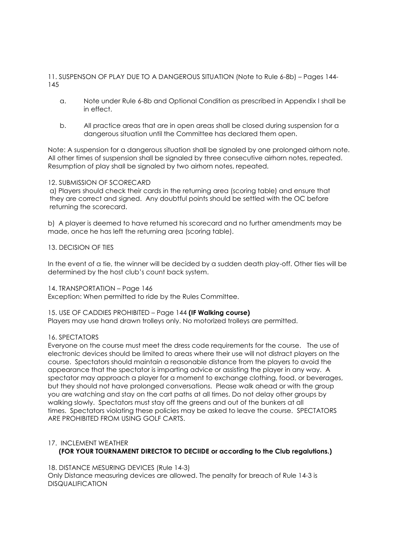11. SUSPENSON OF PLAY DUE TO A DANGEROUS SITUATION (Note to Rule 6-8b) – Pages 144- 145

- a. Note under Rule 6-8b and Optional Condition as prescribed in Appendix I shall be in effect.
- b. All practice areas that are in open areas shall be closed during suspension for a dangerous situation until the Committee has declared them open.

Note: A suspension for a dangerous situation shall be signaled by one prolonged airhorn note. All other times of suspension shall be signaled by three consecutive airhorn notes, repeated. Resumption of play shall be signaled by two airhorn notes, repeated.

#### 12. SUBMISSION OF SCORECARD

a) Players should check their cards in the returning area (scoring table) and ensure that they are correct and signed. Any doubtful points should be settled with the OC before returning the scorecard.

b) A player is deemed to have returned his scorecard and no further amendments may be made, once he has left the returning area (scoring table).

#### 13. DECISION OF TIES

In the event of a tie, the winner will be decided by a sudden death play-off. Other ties will be determined by the host club's count back system.

#### 14. TRANSPORTATION – Page 146

Exception: When permitted to ride by the Rules Committee.

#### 15. USE OF CADDIES PROHIBITED – Page 144 **(IF Walking course)**

Players may use hand drawn trolleys only. No motorized trolleys are permitted.

#### 16. SPECTATORS

Everyone on the course must meet the dress code requirements for the course. The use of electronic devices should be limited to areas where their use will not distract players on the course. Spectators should maintain a reasonable distance from the players to avoid the appearance that the spectator is imparting advice or assisting the player in any way. A spectator may approach a player for a moment to exchange clothing, food, or beverages, but they should not have prolonged conversations. Please walk ahead or with the group you are watching and stay on the cart paths at all times. Do not delay other groups by walking slowly. Spectators must stay off the greens and out of the bunkers at all times. Spectators violating these policies may be asked to leave the course. SPECTATORS ARE PROHIBITED FROM USING GOLF CARTS.

# 17. INCLEMENT WEATHER **(FOR YOUR TOURNAMENT DIRECTOR TO DECIIDE or according to the Club regalutions.)**

18. DISTANCE MESURING DEVICES (Rule 14-3) Only Distance measuring devices are allowed. The penalty for breach of Rule 14-3 is DISQUALIFICATION